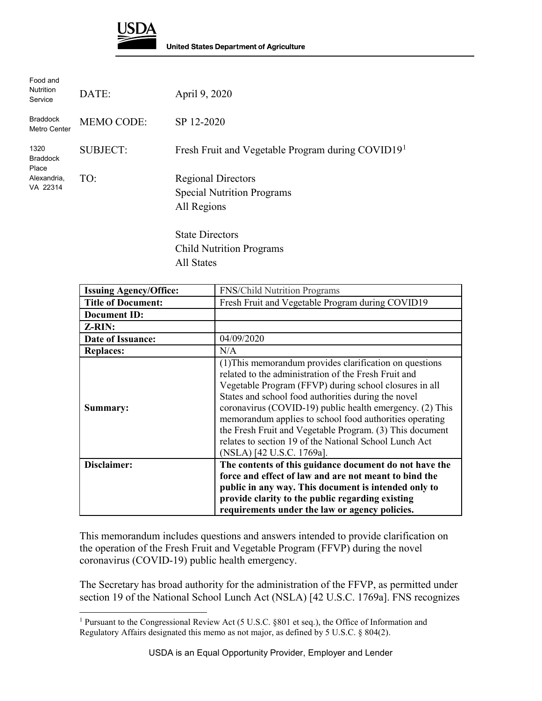

 $\overline{a}$ 

| Food and<br><b>Nutrition</b><br>Service | DATE:             | April 9, 2020                                                                 |
|-----------------------------------------|-------------------|-------------------------------------------------------------------------------|
| <b>Braddock</b><br>Metro Center         | <b>MEMO CODE:</b> | SP 12-2020                                                                    |
| 1320<br><b>Braddock</b><br>Place        | <b>SUBJECT:</b>   | Fresh Fruit and Vegetable Program during COVID19 <sup>1</sup>                 |
| Alexandria,<br>VA 22314                 | TO:               | <b>Regional Directors</b><br><b>Special Nutrition Programs</b><br>All Regions |
|                                         |                   | <b>State Directors</b><br><b>Child Nutrition Programs</b>                     |

All States

| <b>Issuing Agency/Office:</b> | <b>FNS/Child Nutrition Programs</b>                                                                                                                                                                                                                                                                                                                                                                                                                                                                        |
|-------------------------------|------------------------------------------------------------------------------------------------------------------------------------------------------------------------------------------------------------------------------------------------------------------------------------------------------------------------------------------------------------------------------------------------------------------------------------------------------------------------------------------------------------|
| <b>Title of Document:</b>     | Fresh Fruit and Vegetable Program during COVID19                                                                                                                                                                                                                                                                                                                                                                                                                                                           |
| <b>Document ID:</b>           |                                                                                                                                                                                                                                                                                                                                                                                                                                                                                                            |
| <b>Z-RIN:</b>                 |                                                                                                                                                                                                                                                                                                                                                                                                                                                                                                            |
| Date of Issuance:             | 04/09/2020                                                                                                                                                                                                                                                                                                                                                                                                                                                                                                 |
| <b>Replaces:</b>              | N/A                                                                                                                                                                                                                                                                                                                                                                                                                                                                                                        |
| Summary:                      | (1) This memorandum provides clarification on questions<br>related to the administration of the Fresh Fruit and<br>Vegetable Program (FFVP) during school closures in all<br>States and school food authorities during the novel<br>coronavirus (COVID-19) public health emergency. (2) This<br>memorandum applies to school food authorities operating<br>the Fresh Fruit and Vegetable Program. (3) This document<br>relates to section 19 of the National School Lunch Act<br>(NSLA) [42 U.S.C. 1769a]. |
| Disclaimer:                   | The contents of this guidance document do not have the                                                                                                                                                                                                                                                                                                                                                                                                                                                     |
|                               | force and effect of law and are not meant to bind the                                                                                                                                                                                                                                                                                                                                                                                                                                                      |
|                               | public in any way. This document is intended only to                                                                                                                                                                                                                                                                                                                                                                                                                                                       |
|                               | provide clarity to the public regarding existing                                                                                                                                                                                                                                                                                                                                                                                                                                                           |
|                               | requirements under the law or agency policies.                                                                                                                                                                                                                                                                                                                                                                                                                                                             |

This memorandum includes questions and answers intended to provide clarification on the operation of the Fresh Fruit and Vegetable Program (FFVP) during the novel coronavirus (COVID-19) public health emergency.

The Secretary has broad authority for the administration of the FFVP, as permitted under section 19 of the National School Lunch Act (NSLA) [42 U.S.C. 1769a]. FNS recognizes

<span id="page-0-0"></span><sup>1</sup> Pursuant to the Congressional Review Act (5 U.S.C. §801 et seq.), the Office of Information and Regulatory Affairs designated this memo as not major, as defined by 5 U.S.C. § 804(2).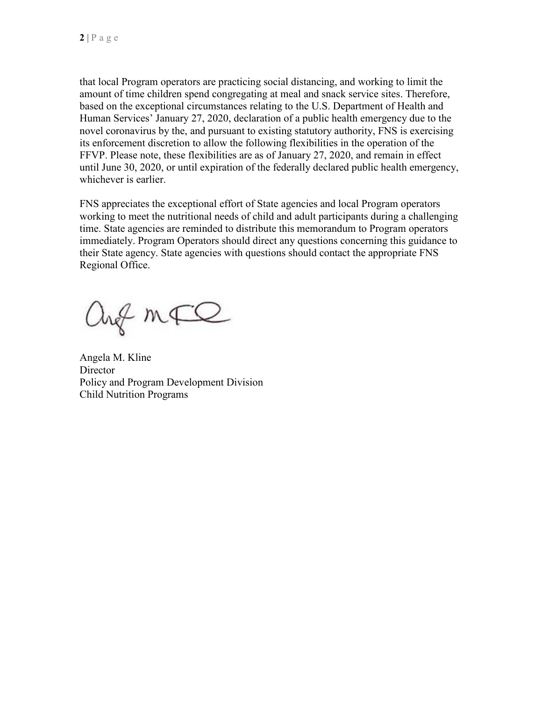that local Program operators are practicing social distancing, and working to limit the amount of time children spend congregating at meal and snack service sites. Therefore, based on the exceptional circumstances relating to the U.S. Department of Health and Human Services' January 27, 2020, declaration of a public health emergency due to the novel coronavirus by the, and pursuant to existing statutory authority, FNS is exercising its enforcement discretion to allow the following flexibilities in the operation of the FFVP. Please note, these flexibilities are as of January 27, 2020, and remain in effect until June 30, 2020, or until expiration of the federally declared public health emergency, whichever is earlier.

FNS appreciates the exceptional effort of State agencies and local Program operators working to meet the nutritional needs of child and adult participants during a challenging time. State agencies are reminded to distribute this memorandum to Program operators immediately. Program Operators should direct any questions concerning this guidance to their State agency. State agencies with questions should contact the appropriate FNS Regional Office.

ang mFQ

Angela M. Kline **Director** Policy and Program Development Division Child Nutrition Programs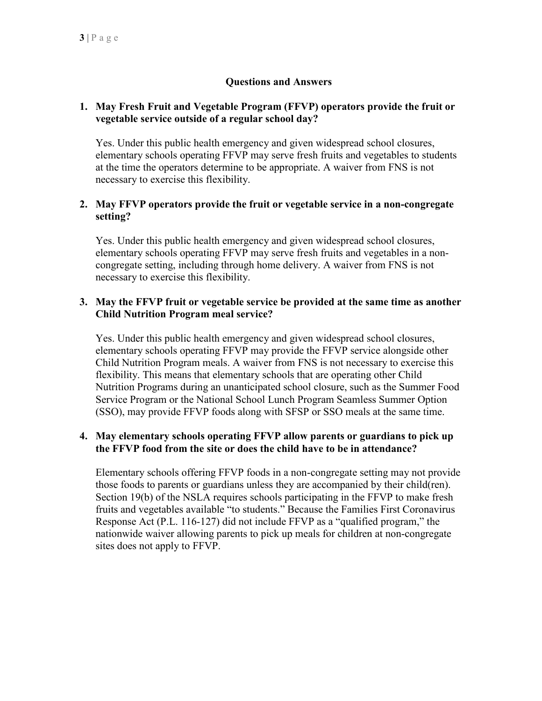# **Questions and Answers**

### **1. May Fresh Fruit and Vegetable Program (FFVP) operators provide the fruit or vegetable service outside of a regular school day?**

Yes. Under this public health emergency and given widespread school closures, elementary schools operating FFVP may serve fresh fruits and vegetables to students at the time the operators determine to be appropriate. A waiver from FNS is not necessary to exercise this flexibility.

## **2. May FFVP operators provide the fruit or vegetable service in a non-congregate setting?**

Yes. Under this public health emergency and given widespread school closures, elementary schools operating FFVP may serve fresh fruits and vegetables in a noncongregate setting, including through home delivery. A waiver from FNS is not necessary to exercise this flexibility.

#### **3. May the FFVP fruit or vegetable service be provided at the same time as another Child Nutrition Program meal service?**

Yes. Under this public health emergency and given widespread school closures, elementary schools operating FFVP may provide the FFVP service alongside other Child Nutrition Program meals. A waiver from FNS is not necessary to exercise this flexibility. This means that elementary schools that are operating other Child Nutrition Programs during an unanticipated school closure, such as the Summer Food Service Program or the National School Lunch Program Seamless Summer Option (SSO), may provide FFVP foods along with SFSP or SSO meals at the same time.

#### **4. May elementary schools operating FFVP allow parents or guardians to pick up the FFVP food from the site or does the child have to be in attendance?**

Elementary schools offering FFVP foods in a non-congregate setting may not provide those foods to parents or guardians unless they are accompanied by their child(ren). Section 19(b) of the NSLA requires schools participating in the FFVP to make fresh fruits and vegetables available "to students." Because the Families First Coronavirus Response Act (P.L. 116-127) did not include FFVP as a "qualified program," the nationwide waiver allowing parents to pick up meals for children at non-congregate sites does not apply to FFVP.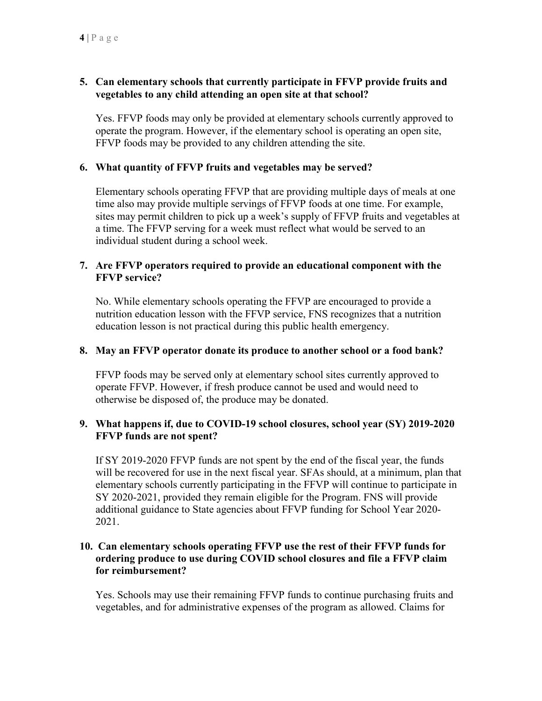# **5. Can elementary schools that currently participate in FFVP provide fruits and vegetables to any child attending an open site at that school?**

Yes. FFVP foods may only be provided at elementary schools currently approved to operate the program. However, if the elementary school is operating an open site, FFVP foods may be provided to any children attending the site.

## **6. What quantity of FFVP fruits and vegetables may be served?**

Elementary schools operating FFVP that are providing multiple days of meals at one time also may provide multiple servings of FFVP foods at one time. For example, sites may permit children to pick up a week's supply of FFVP fruits and vegetables at a time. The FFVP serving for a week must reflect what would be served to an individual student during a school week.

## **7. Are FFVP operators required to provide an educational component with the FFVP service?**

No. While elementary schools operating the FFVP are encouraged to provide a nutrition education lesson with the FFVP service, FNS recognizes that a nutrition education lesson is not practical during this public health emergency.

## **8. May an FFVP operator donate its produce to another school or a food bank?**

FFVP foods may be served only at elementary school sites currently approved to operate FFVP. However, if fresh produce cannot be used and would need to otherwise be disposed of, the produce may be donated.

#### **9. What happens if, due to COVID-19 school closures, school year (SY) 2019-2020 FFVP funds are not spent?**

If SY 2019-2020 FFVP funds are not spent by the end of the fiscal year, the funds will be recovered for use in the next fiscal year. SFAs should, at a minimum, plan that elementary schools currently participating in the FFVP will continue to participate in SY 2020-2021, provided they remain eligible for the Program. FNS will provide additional guidance to State agencies about FFVP funding for School Year 2020- 2021.

## **10. Can elementary schools operating FFVP use the rest of their FFVP funds for ordering produce to use during COVID school closures and file a FFVP claim for reimbursement?**

Yes. Schools may use their remaining FFVP funds to continue purchasing fruits and vegetables, and for administrative expenses of the program as allowed. Claims for